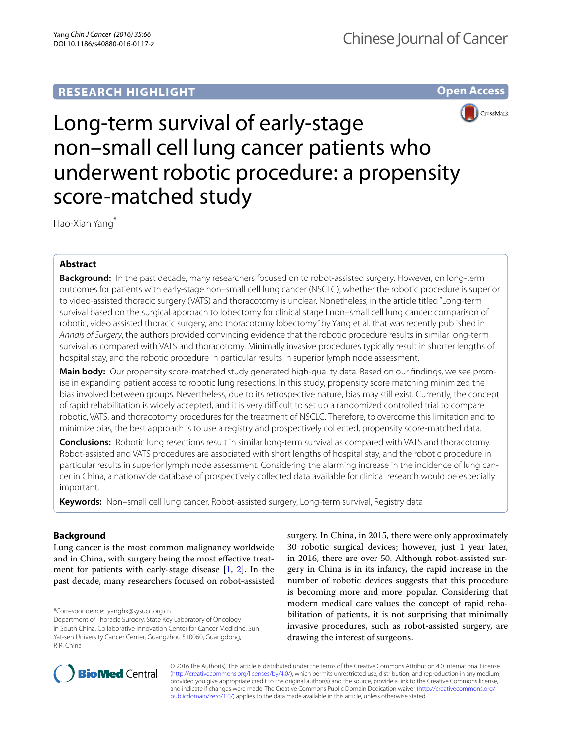## **RESEARCH HIGHLIGHT**

**Open Access**



# Long-term survival of early-stage non–small cell lung cancer patients who underwent robotic procedure: a propensity score-matched study

Hao‑Xian Yang\*

## **Abstract**

**Background:** In the past decade, many researchers focused on to robot-assisted surgery. However, on long-term outcomes for patients with early-stage non–small cell lung cancer (NSCLC), whether the robotic procedure is superior to video-assisted thoracic surgery (VATS) and thoracotomy is unclear. Nonetheless, in the article titled "Long-term survival based on the surgical approach to lobectomy for clinical stage I non–small cell lung cancer: comparison of robotic, video assisted thoracic surgery, and thoracotomy lobectomy" by Yang et al. that was recently published in *Annals of Surgery*, the authors provided convincing evidence that the robotic procedure results in similar long-term survival as compared with VATS and thoracotomy. Minimally invasive procedures typically result in shorter lengths of hospital stay, and the robotic procedure in particular results in superior lymph node assessment.

**Main body:** Our propensity score-matched study generated high-quality data. Based on our findings, we see promise in expanding patient access to robotic lung resections. In this study, propensity score matching minimized the bias involved between groups. Nevertheless, due to its retrospective nature, bias may still exist. Currently, the concept of rapid rehabilitation is widely accepted, and it is very difficult to set up a randomized controlled trial to compare robotic, VATS, and thoracotomy procedures for the treatment of NSCLC. Therefore, to overcome this limitation and to minimize bias, the best approach is to use a registry and prospectively collected, propensity score-matched data.

**Conclusions:** Robotic lung resections result in similar long-term survival as compared with VATS and thoracotomy. Robot-assisted and VATS procedures are associated with short lengths of hospital stay, and the robotic procedure in particular results in superior lymph node assessment. Considering the alarming increase in the incidence of lung cancer in China, a nationwide database of prospectively collected data available for clinical research would be especially important.

**Keywords:** Non–small cell lung cancer, Robot-assisted surgery, Long-term survival, Registry data

## **Background**

Lung cancer is the most common malignancy worldwide and in China, with surgery being the most effective treatment for patients with early-stage disease [[1,](#page-2-0) [2\]](#page-2-1). In the past decade, many researchers focused on robot-assisted

\*Correspondence: yanghx@sysucc.org.cn

Department of Thoracic Surgery, State Key Laboratory of Oncology in South China, Collaborative Innovation Center for Cancer Medicine, Sun Yat-sen University Cancer Center, Guangzhou 510060, Guangdong, P. R. China

surgery. In China, in 2015, there were only approximately 30 robotic surgical devices; however, just 1 year later, in 2016, there are over 50. Although robot-assisted surgery in China is in its infancy, the rapid increase in the number of robotic devices suggests that this procedure is becoming more and more popular. Considering that modern medical care values the concept of rapid rehabilitation of patients, it is not surprising that minimally invasive procedures, such as robot-assisted surgery, are drawing the interest of surgeons.



© 2016 The Author(s). This article is distributed under the terms of the Creative Commons Attribution 4.0 International License [\(http://creativecommons.org/licenses/by/4.0/\)](http://creativecommons.org/licenses/by/4.0/), which permits unrestricted use, distribution, and reproduction in any medium, provided you give appropriate credit to the original author(s) and the source, provide a link to the Creative Commons license, and indicate if changes were made. The Creative Commons Public Domain Dedication waiver ([http://creativecommons.org/](http://creativecommons.org/publicdomain/zero/1.0/) [publicdomain/zero/1.0/](http://creativecommons.org/publicdomain/zero/1.0/)) applies to the data made available in this article, unless otherwise stated.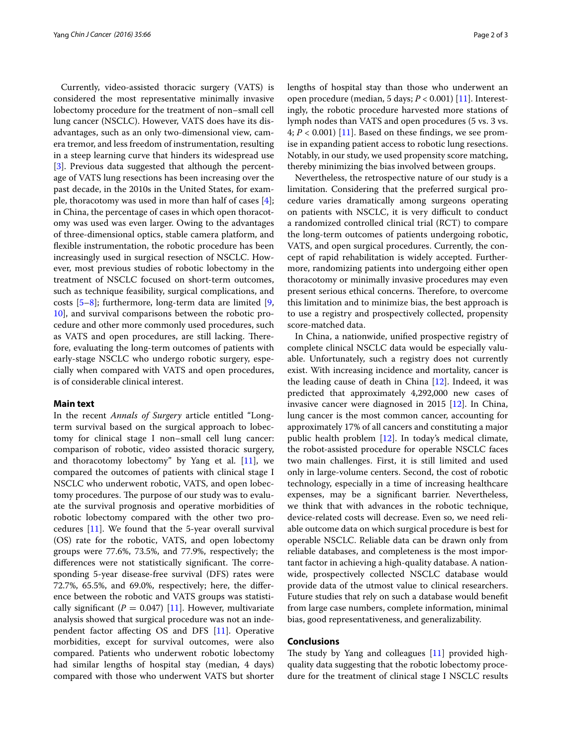Currently, video-assisted thoracic surgery (VATS) is considered the most representative minimally invasive lobectomy procedure for the treatment of non–small cell lung cancer (NSCLC). However, VATS does have its disadvantages, such as an only two-dimensional view, camera tremor, and less freedom of instrumentation, resulting in a steep learning curve that hinders its widespread use [[3\]](#page-2-2). Previous data suggested that although the percentage of VATS lung resections has been increasing over the past decade, in the 2010s in the United States, for example, thoracotomy was used in more than half of cases [\[4](#page-2-3)]; in China, the percentage of cases in which open thoracotomy was used was even larger. Owing to the advantages of three-dimensional optics, stable camera platform, and flexible instrumentation, the robotic procedure has been increasingly used in surgical resection of NSCLC. However, most previous studies of robotic lobectomy in the treatment of NSCLC focused on short-term outcomes, such as technique feasibility, surgical complications, and costs [\[5–](#page-2-4)[8\]](#page-2-5); furthermore, long-term data are limited [\[9](#page-2-6), [10\]](#page-2-7), and survival comparisons between the robotic procedure and other more commonly used procedures, such as VATS and open procedures, are still lacking. Therefore, evaluating the long-term outcomes of patients with early-stage NSCLC who undergo robotic surgery, especially when compared with VATS and open procedures, is of considerable clinical interest.

#### **Main text**

In the recent *Annals of Surgery* article entitled "Longterm survival based on the surgical approach to lobectomy for clinical stage I non–small cell lung cancer: comparison of robotic, video assisted thoracic surgery, and thoracotomy lobectomy" by Yang et al. [[11](#page-2-8)], we compared the outcomes of patients with clinical stage I NSCLC who underwent robotic, VATS, and open lobectomy procedures. The purpose of our study was to evaluate the survival prognosis and operative morbidities of robotic lobectomy compared with the other two procedures [\[11](#page-2-8)]. We found that the 5-year overall survival (OS) rate for the robotic, VATS, and open lobectomy groups were 77.6%, 73.5%, and 77.9%, respectively; the differences were not statistically significant. The corresponding 5-year disease-free survival (DFS) rates were 72.7%, 65.5%, and 69.0%, respectively; here, the difference between the robotic and VATS groups was statistically significant  $(P = 0.047)$  [\[11\]](#page-2-8). However, multivariate analysis showed that surgical procedure was not an independent factor affecting OS and DFS [\[11](#page-2-8)]. Operative morbidities, except for survival outcomes, were also compared. Patients who underwent robotic lobectomy had similar lengths of hospital stay (median, 4 days) compared with those who underwent VATS but shorter lengths of hospital stay than those who underwent an open procedure (median, 5 days; *P* < 0.001) [\[11\]](#page-2-8). Interestingly, the robotic procedure harvested more stations of lymph nodes than VATS and open procedures (5 vs. 3 vs. 4;  $P < 0.001$ ) [\[11\]](#page-2-8). Based on these findings, we see promise in expanding patient access to robotic lung resections. Notably, in our study, we used propensity score matching, thereby minimizing the bias involved between groups.

Nevertheless, the retrospective nature of our study is a limitation. Considering that the preferred surgical procedure varies dramatically among surgeons operating on patients with NSCLC, it is very difficult to conduct a randomized controlled clinical trial (RCT) to compare the long-term outcomes of patients undergoing robotic, VATS, and open surgical procedures. Currently, the concept of rapid rehabilitation is widely accepted. Furthermore, randomizing patients into undergoing either open thoracotomy or minimally invasive procedures may even present serious ethical concerns. Therefore, to overcome this limitation and to minimize bias, the best approach is to use a registry and prospectively collected, propensity score-matched data.

In China, a nationwide, unified prospective registry of complete clinical NSCLC data would be especially valuable. Unfortunately, such a registry does not currently exist. With increasing incidence and mortality, cancer is the leading cause of death in China  $[12]$  $[12]$ . Indeed, it was predicted that approximately 4,292,000 new cases of invasive cancer were diagnosed in 2015 [[12](#page-2-9)]. In China, lung cancer is the most common cancer, accounting for approximately 17% of all cancers and constituting a major public health problem [[12\]](#page-2-9). In today's medical climate, the robot-assisted procedure for operable NSCLC faces two main challenges. First, it is still limited and used only in large-volume centers. Second, the cost of robotic technology, especially in a time of increasing healthcare expenses, may be a significant barrier. Nevertheless, we think that with advances in the robotic technique, device-related costs will decrease. Even so, we need reliable outcome data on which surgical procedure is best for operable NSCLC. Reliable data can be drawn only from reliable databases, and completeness is the most important factor in achieving a high-quality database. A nationwide, prospectively collected NSCLC database would provide data of the utmost value to clinical researchers. Future studies that rely on such a database would benefit from large case numbers, complete information, minimal bias, good representativeness, and generalizability.

#### **Conclusions**

The study by Yang and colleagues [\[11](#page-2-8)] provided highquality data suggesting that the robotic lobectomy procedure for the treatment of clinical stage I NSCLC results